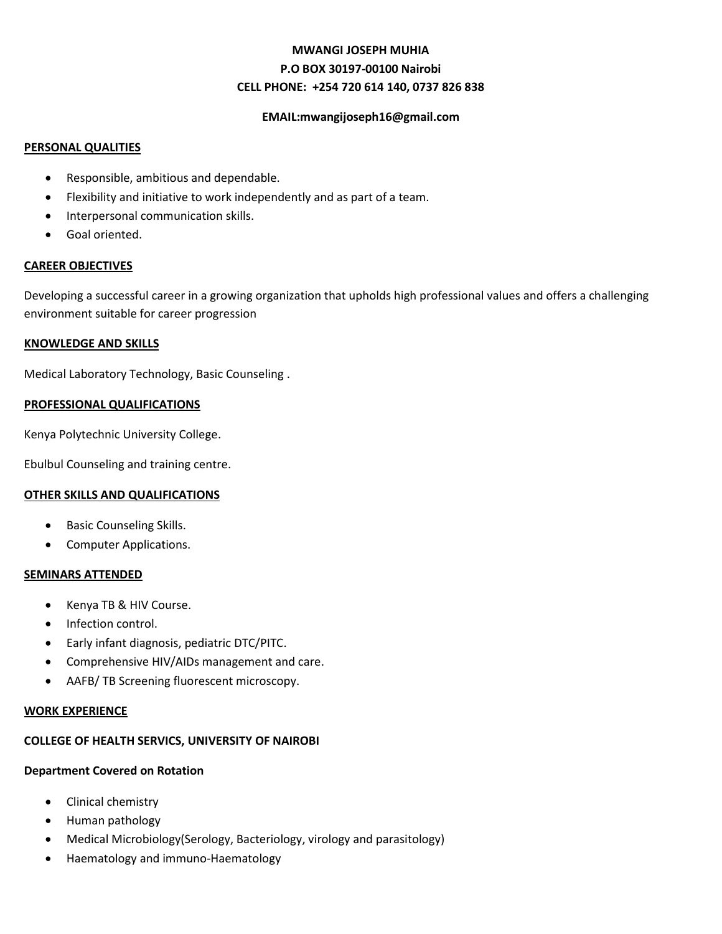# **MWANGI JOSEPH MUHIA P.O BOX 30197-00100 Nairobi CELL PHONE: +254 720 614 140, 0737 826 838**

# **EMAIL:mwangijoseph16@gmail.com**

# **PERSONAL QUALITIES**

- Responsible, ambitious and dependable.
- Flexibility and initiative to work independently and as part of a team.
- Interpersonal communication skills.
- Goal oriented.

# **CAREER OBJECTIVES**

Developing a successful career in a growing organization that upholds high professional values and offers a challenging environment suitable for career progression

# **KNOWLEDGE AND SKILLS**

Medical Laboratory Technology, Basic Counseling .

# **PROFESSIONAL QUALIFICATIONS**

Kenya Polytechnic University College.

Ebulbul Counseling and training centre.

# **OTHER SKILLS AND QUALIFICATIONS**

- Basic Counseling Skills.
- **•** Computer Applications.

# **SEMINARS ATTENDED**

- Kenya TB & HIV Course.
- Infection control.
- Early infant diagnosis, pediatric DTC/PITC.
- Comprehensive HIV/AIDs management and care.
- AAFB/ TB Screening fluorescent microscopy.

#### **WORK EXPERIENCE**

# **COLLEGE OF HEALTH SERVICS, UNIVERSITY OF NAIROBI**

# **Department Covered on Rotation**

- Clinical chemistry
- Human pathology
- Medical Microbiology(Serology, Bacteriology, virology and parasitology)
- Haematology and immuno-Haematology